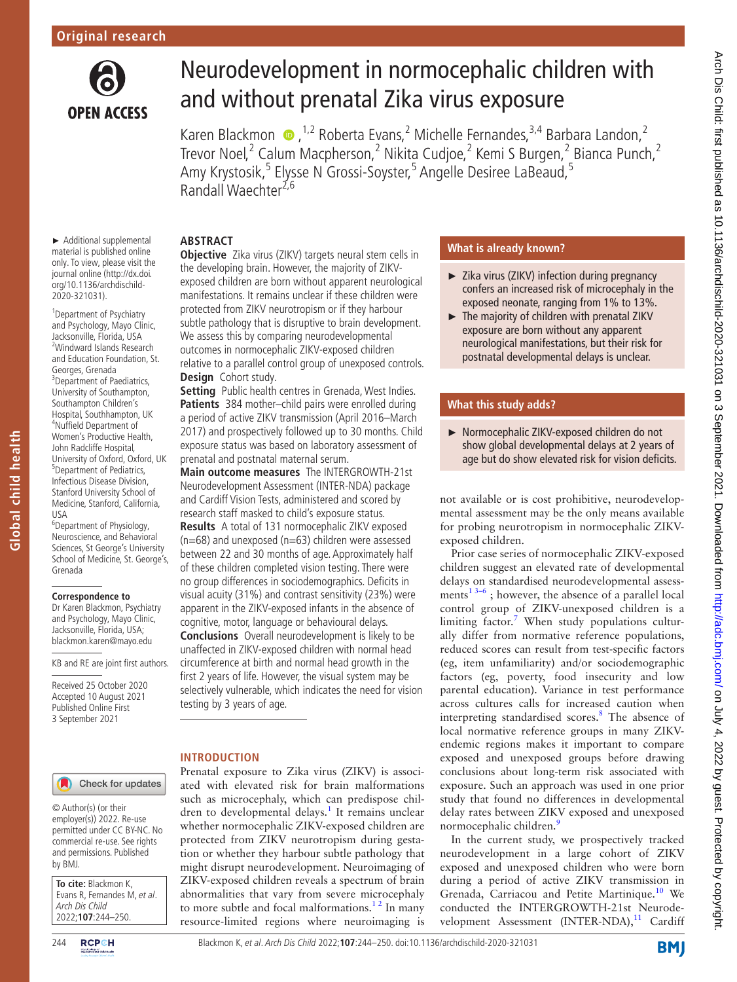

# Neurodevelopment in normocephalic children with and without prenatal Zika virus exposure

KarenBlackmon  $\bullet$ , <sup>1,2</sup> Roberta Evans, <sup>2</sup> Michelle Fernandes, <sup>3,4</sup> Barbara Landon, <sup>2</sup> Trevor Noel,<sup>2</sup> Calum Macpherson,<sup>2</sup> Nikita Cudjoe,<sup>2</sup> Kemi S Burgen,<sup>2</sup> Bianca Punch,<sup>2</sup> Amy Krystosik,<sup>5</sup> Elysse N Grossi-Soyster,<sup>5</sup> Angelle Desiree LaBeaud,<sup>5</sup> Randall Waechter<sup>2,6</sup>

## **ABSTRACT**

► Additional supplemental material is published online only. To view, please visit the journal online ([http://dx.doi.](http://dx.doi.org/10.1136/archdischild-2020-321031) [org/10.1136/archdischild-](http://dx.doi.org/10.1136/archdischild-2020-321031)[2020-321031\)](http://dx.doi.org/10.1136/archdischild-2020-321031).

<sup>1</sup> Department of Psychiatry and Psychology, Mayo Clinic, Jacksonville, Florida, USA 2 Windward Islands Research and Education Foundation, St. Georges, Grenada <sup>3</sup> Department of Paediatrics, University of Southampton, Southampton Children's Hospital, Southhampton, UK 4 Nuffield Department of Women's Productive Health, John Radcliffe Hospital, University of Oxford, Oxford, UK 5 Department of Pediatrics, Infectious Disease Division, Stanford University School of Medicine, Stanford, California, USA

6 Department of Physiology, Neuroscience, and Behavioral Sciences, St George's University School of Medicine, St. George's, Grenada

#### **Correspondence to**

**Global child health**

Global child health

Dr Karen Blackmon, Psychiatry and Psychology, Mayo Clinic, Jacksonville, Florida, USA; blackmon.karen@mayo.edu

KB and RE are joint first authors.

Received 25 October 2020 Accepted 10 August 2021 Published Online First 3 September 2021

**Objective** Zika virus (ZIKV) targets neural stem cells in the developing brain. However, the majority of ZIKVexposed children are born without apparent neurological manifestations. It remains unclear if these children were protected from ZIKV neurotropism or if they harbour subtle pathology that is disruptive to brain development. We assess this by comparing neurodevelopmental outcomes in normocephalic ZIKV-exposed children relative to a parallel control group of unexposed controls. **Design** Cohort study.

**Setting** Public health centres in Grenada, West Indies. Patients 384 mother-child pairs were enrolled during a period of active ZIKV transmission (April 2016–March 2017) and prospectively followed up to 30 months. Child exposure status was based on laboratory assessment of prenatal and postnatal maternal serum.

**Main outcome measures** The INTERGROWTH-21st Neurodevelopment Assessment (INTER-NDA) package and Cardiff Vision Tests, administered and scored by research staff masked to child's exposure status.

**Results** A total of 131 normocephalic ZIKV exposed  $(n=68)$  and unexposed  $(n=63)$  children were assessed between 22 and 30 months of age. Approximately half of these children completed vision testing. There were no group differences in sociodemographics. Deficits in visual acuity (31%) and contrast sensitivity (23%) were apparent in the ZIKV-exposed infants in the absence of cognitive, motor, language or behavioural delays. **Conclusions** Overall neurodevelopment is likely to be unaffected in ZIKV-exposed children with normal head circumference at birth and normal head growth in the first 2 years of life. However, the visual system may be selectively vulnerable, which indicates the need for vision testing by 3 years of age.

## **INTRODUCTION**

Prenatal exposure to Zika virus (ZIKV) is associated with elevated risk for brain malformations such as microcephaly, which can predispose chil-dren to developmental delays.<sup>[1](#page-5-0)</sup> It remains unclear whether normocephalic ZIKV-exposed children are protected from ZIKV neurotropism during gestation or whether they harbour subtle pathology that might disrupt neurodevelopment. Neuroimaging of ZIKV-exposed children reveals a spectrum of brain abnormalities that vary from severe microcephaly to more subtle and focal malformations. $1<sup>2</sup>$  In many resource-limited regions where neuroimaging is

# **What is already known?**

- ► Zika virus (ZIKV) infection during pregnancy confers an increased risk of microcephaly in the exposed neonate, ranging from 1% to 13%.
- ► The majority of children with prenatal ZIKV exposure are born without any apparent neurological manifestations, but their risk for postnatal developmental delays is unclear.

## **What this study adds?**

► Normocephalic ZIKV-exposed children do not show global developmental delays at 2 years of age but do show elevated risk for vision deficits.

not available or is cost prohibitive, neurodevelopmental assessment may be the only means available for probing neurotropism in normocephalic ZIKVexposed children.

Prior case series of normocephalic ZIKV-exposed children suggest an elevated rate of developmental delays on standardised neurodevelopmental assessments<sup>13–6</sup>; however, the absence of a parallel local control group of ZIKV-unexposed children is a limiting factor. [7](#page-5-1) When study populations culturally differ from normative reference populations, reduced scores can result from test-specific factors (eg, item unfamiliarity) and/or sociodemographic factors (eg, poverty, food insecurity and low parental education). Variance in test performance across cultures calls for increased caution when interpreting standardised scores.<sup>[8](#page-5-2)</sup> The absence of local normative reference groups in many ZIKVendemic regions makes it important to compare exposed and unexposed groups before drawing conclusions about long-term risk associated with exposure. Such an approach was used in one prior study that found no differences in developmental delay rates between ZIKV exposed and unexposed normocephalic children.<sup>[9](#page-5-3)</sup>

In the current study, we prospectively tracked neurodevelopment in a large cohort of ZIKV exposed and unexposed children who were born during a period of active ZIKV transmission in Grenada, Carriacou and Petite Martinique.<sup>[10](#page-5-4)</sup> We conducted the INTERGROWTH-21st Neurodevelopment Assessment (INTER-NDA), $^{11}$  Cardiff

Check for updates

employer(s)) 2022. Re-use permitted under CC BY-NC. No commercial re-use. See rights and permissions. Published by BMJ.

**To cite:** Blackmon K, Evans R, Fernandes M, et al. Arch Dis Child 2022;**107**:244–250.

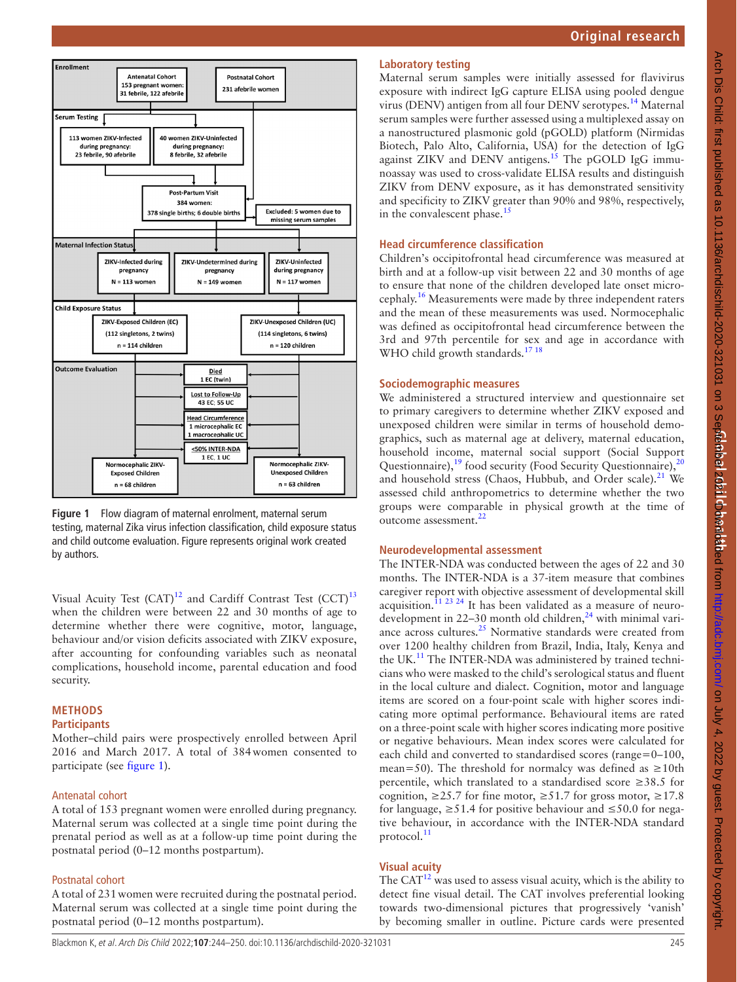



<span id="page-1-0"></span>**Figure 1** Flow diagram of maternal enrolment, maternal serum testing, maternal Zika virus infection classification, child exposure status and child outcome evaluation. Figure represents original work created by authors.

Visual Acuity Test  $(CAT)^{12}$  and Cardiff Contrast Test  $(CCT)^{13}$  $(CCT)^{13}$  $(CCT)^{13}$ when the children were between 22 and 30 months of age to determine whether there were cognitive, motor, language, behaviour and/or vision deficits associated with ZIKV exposure, after accounting for confounding variables such as neonatal complications, household income, parental education and food security.

## **METHODS**

#### **Participants**

Mother–child pairs were prospectively enrolled between April 2016 and March 2017. A total of 384women consented to participate (see [figure](#page-1-0) 1).

#### Antenatal cohort

A total of 153 pregnant women were enrolled during pregnancy. Maternal serum was collected at a single time point during the prenatal period as well as at a follow-up time point during the postnatal period (0–12 months postpartum).

## Postnatal cohort

A total of 231women were recruited during the postnatal period. Maternal serum was collected at a single time point during the postnatal period (0–12 months postpartum).

## **Laboratory testing**

Maternal serum samples were initially assessed for flavivirus exposure with indirect IgG capture ELISA using pooled dengue virus (DENV) antigen from all four DENV serotypes[.14](#page-5-8) Maternal serum samples were further assessed using a multiplexed assay on a nanostructured plasmonic gold (pGOLD) platform (Nirmidas Biotech, Palo Alto, California, USA) for the detection of IgG against ZIKV and DENV antigens.<sup>15</sup> The pGOLD IgG immunoassay was used to cross-validate ELISA results and distinguish ZIKV from DENV exposure, as it has demonstrated sensitivity and specificity to ZIKV greater than 90% and 98%, respectively, in the convalescent phase. $15$ 

## **Head circumference classification**

Children's occipitofrontal head circumference was measured at birth and at a follow-up visit between 22 and 30 months of age to ensure that none of the children developed late onset microcephaly[.16](#page-5-10) Measurements were made by three independent raters and the mean of these measurements was used. Normocephalic was defined as occipitofrontal head circumference between the 3rd and 97th percentile for sex and age in accordance with WHO child growth standards.<sup>[17 18](#page-5-11)</sup>

## **Sociodemographic measures**

We administered a structured interview and questionnaire set to primary caregivers to determine whether ZIKV exposed and unexposed children were similar in terms of household demographics, such as maternal age at delivery, maternal education, household income, maternal social support (Social Support Questionnaire),<sup>[19](#page-6-0)</sup> food security (Food Security Questionnaire),<sup>[20](#page-6-1)</sup> and household stress (Chaos, Hubbub, and Order scale).<sup>21</sup> We assessed child anthropometrics to determine whether the two groups were comparable in physical growth at the time of outcome assessment.<sup>[22](#page-6-3)</sup>

## **Neurodevelopmental assessment**

The INTER-NDA was conducted between the ages of 22 and 30 months. The INTER-NDA is a 37-item measure that combines caregiver report with objective assessment of developmental skill acquisition.<sup>11 23 24</sup> It has been validated as a measure of neurodevelopment in 22–30 month old children, $^{24}$  $^{24}$  $^{24}$  with minimal vari-ance across cultures.<sup>[25](#page-6-5)</sup> Normative standards were created from over 1200 healthy children from Brazil, India, Italy, Kenya and the UK.<sup>[11](#page-5-5)</sup> The INTER-NDA was administered by trained technicians who were masked to the child's serological status and fluent in the local culture and dialect. Cognition, motor and language items are scored on a four-point scale with higher scores indicating more optimal performance. Behavioural items are rated on a three-point scale with higher scores indicating more positive or negative behaviours. Mean index scores were calculated for each child and converted to standardised scores (range=0–100, mean=50). The threshold for normalcy was defined as  $\geq 10$ th percentile, which translated to a standardised score ≥38.5 for cognition,  $\geq$  25.7 for fine motor,  $\geq$  51.7 for gross motor,  $\geq$  17.8 for language,  $\geq 51.4$  for positive behaviour and  $\leq 50.0$  for negative behaviour, in accordance with the INTER-NDA standard protocol.<sup>[11](#page-5-5)</sup>

## **Visual acuity**

The  $CAT^{12}$  was used to assess visual acuity, which is the ability to detect fine visual detail. The CAT involves preferential looking towards two-dimensional pictures that progressively 'vanish' by becoming smaller in outline. Picture cards were presented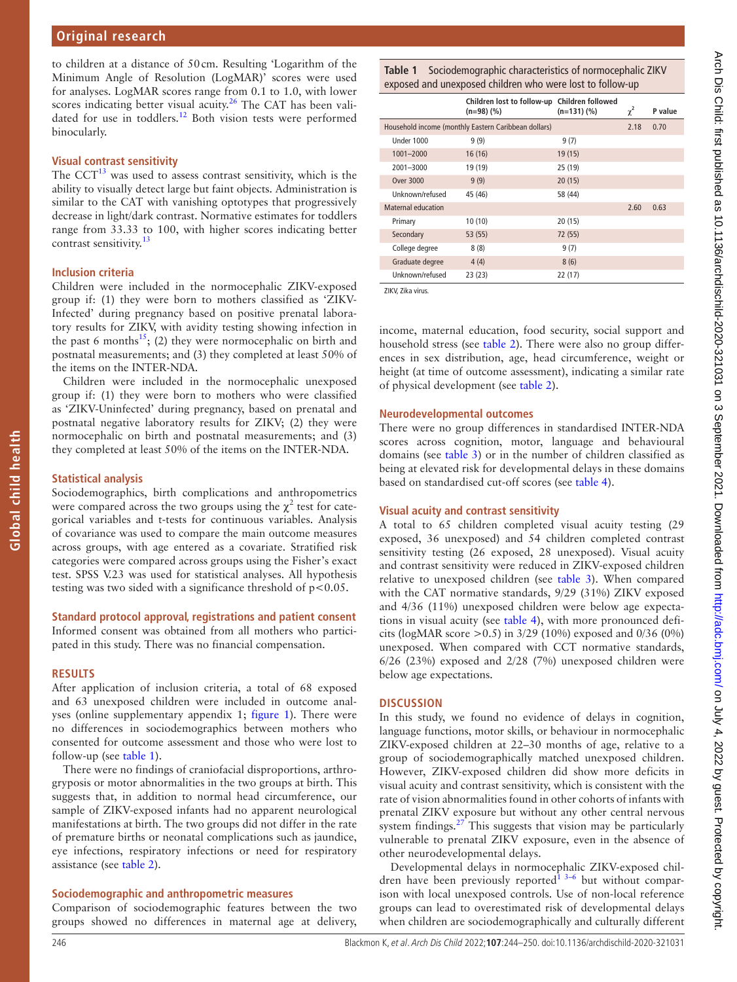to children at a distance of 50cm. Resulting 'Logarithm of the Minimum Angle of Resolution (LogMAR)' scores were used for analyses. LogMAR scores range from 0.1 to 1.0, with lower scores indicating better visual acuity.<sup>26</sup> The CAT has been validated for use in toddlers.[12](#page-5-6) Both vision tests were performed binocularly.

## **Visual contrast sensitivity**

The  $CCT^{13}$  $CCT^{13}$  $CCT^{13}$  was used to assess contrast sensitivity, which is the ability to visually detect large but faint objects. Administration is similar to the CAT with vanishing optotypes that progressively decrease in light/dark contrast. Normative estimates for toddlers range from 33.33 to 100, with higher scores indicating better contrast sensitivity.<sup>13</sup>

## **Inclusion criteria**

Children were included in the normocephalic ZIKV-exposed group if: (1) they were born to mothers classified as 'ZIKV-Infected' during pregnancy based on positive prenatal laboratory results for ZIKV, with avidity testing showing infection in the past 6 months<sup>15</sup>; (2) they were normocephalic on birth and postnatal measurements; and (3) they completed at least 50% of the items on the INTER-NDA.

Children were included in the normocephalic unexposed group if: (1) they were born to mothers who were classified as 'ZIKV-Uninfected' during pregnancy, based on prenatal and postnatal negative laboratory results for ZIKV; (2) they were normocephalic on birth and postnatal measurements; and (3) they completed at least 50% of the items on the INTER-NDA.

## **Statistical analysis**

**Global child health**

Global child health

Sociodemographics, birth complications and anthropometrics were compared across the two groups using the  $\chi^2$  test for categorical variables and t-tests for continuous variables. Analysis of covariance was used to compare the main outcome measures across groups, with age entered as a covariate. Stratified risk categories were compared across groups using the Fisher's exact test. SPSS V.23 was used for statistical analyses. All hypothesis testing was two sided with a significance threshold of p<0.05.

## **Standard protocol approval, registrations and patient consent**

Informed consent was obtained from all mothers who participated in this study. There was no financial compensation.

#### **RESULTS**

After application of inclusion criteria, a total of 68 exposed and 63 unexposed children were included in outcome analyses ([online supplementary appendix 1](https://dx.doi.org/10.1136/archdischild-2020-321031); [figure](#page-1-0) 1). There were no differences in sociodemographics between mothers who consented for outcome assessment and those who were lost to follow-up (see [table](#page-2-0) 1).

There were no findings of craniofacial disproportions, arthrogryposis or motor abnormalities in the two groups at birth. This suggests that, in addition to normal head circumference, our sample of ZIKV-exposed infants had no apparent neurological manifestations at birth. The two groups did not differ in the rate of premature births or neonatal complications such as jaundice, eye infections, respiratory infections or need for respiratory assistance (see [table](#page-3-0) 2).

#### **Sociodemographic and anthropometric measures**

Comparison of sociodemographic features between the two groups showed no differences in maternal age at delivery,

<span id="page-2-0"></span>**Table 1** Sociodemographic characteristics of normocephalic ZIKV exposed and unexposed children who were lost to follow-up

|                    | Children lost to follow-up Children followed<br>(n=98) (%) | $(n=131)(%$ | $\chi^2$ | P value |
|--------------------|------------------------------------------------------------|-------------|----------|---------|
|                    | Household income (monthly Eastern Caribbean dollars)       |             | 2.18     | 0.70    |
| Under 1000         | 9(9)                                                       | 9(7)        |          |         |
| 1001-2000          | 16(16)                                                     | 19 (15)     |          |         |
| 2001-3000          | 19 (19)                                                    | 25 (19)     |          |         |
| Over 3000          | 9(9)                                                       | 20(15)      |          |         |
| Unknown/refused    | 45 (46)                                                    | 58 (44)     |          |         |
| Maternal education |                                                            |             | 2.60     | 0.63    |
| Primary            | 10(10)                                                     | 20(15)      |          |         |
| Secondary          | 53 (55)                                                    | 72 (55)     |          |         |
| College degree     | 8(8)                                                       | 9(7)        |          |         |
| Graduate degree    | 4(4)                                                       | 8(6)        |          |         |
| Unknown/refused    | 23 (23)                                                    | 22(17)      |          |         |

ZIKV, Zika virus.

income, maternal education, food security, social support and household stress (see [table](#page-3-0) 2). There were also no group differences in sex distribution, age, head circumference, weight or height (at time of outcome assessment), indicating a similar rate of physical development (see [table](#page-3-0) 2).

#### **Neurodevelopmental outcomes**

There were no group differences in standardised INTER-NDA scores across cognition, motor, language and behavioural domains (see [table](#page-4-0) 3) or in the number of children classified as being at elevated risk for developmental delays in these domains based on standardised cut-off scores (see [table](#page-4-1) 4).

## **Visual acuity and contrast sensitivity**

A total to 65 children completed visual acuity testing (29 exposed, 36 unexposed) and 54 children completed contrast sensitivity testing (26 exposed, 28 unexposed). Visual acuity and contrast sensitivity were reduced in ZIKV-exposed children relative to unexposed children (see [table](#page-4-0) 3). When compared with the CAT normative standards, 9/29 (31%) ZIKV exposed and 4/36 (11%) unexposed children were below age expectations in visual acuity (see [table](#page-4-1) 4), with more pronounced deficits (logMAR score >0.5) in 3/29 (10%) exposed and 0/36 (0%) unexposed. When compared with CCT normative standards, 6/26 (23%) exposed and 2/28 (7%) unexposed children were below age expectations.

## **DISCUSSION**

In this study, we found no evidence of delays in cognition, language functions, motor skills, or behaviour in normocephalic ZIKV-exposed children at 22–30 months of age, relative to a group of sociodemographically matched unexposed children. However, ZIKV-exposed children did show more deficits in visual acuity and contrast sensitivity, which is consistent with the rate of vision abnormalities found in other cohorts of infants with prenatal ZIKV exposure but without any other central nervous system findings. $27$  This suggests that vision may be particularly vulnerable to prenatal ZIKV exposure, even in the absence of other neurodevelopmental delays.

Developmental delays in normocephalic ZIKV-exposed children have been previously reported $\frac{1}{3}$ <sup>3-6</sup> but without comparison with local unexposed controls. Use of non-local reference groups can lead to overestimated risk of developmental delays when children are sociodemographically and culturally different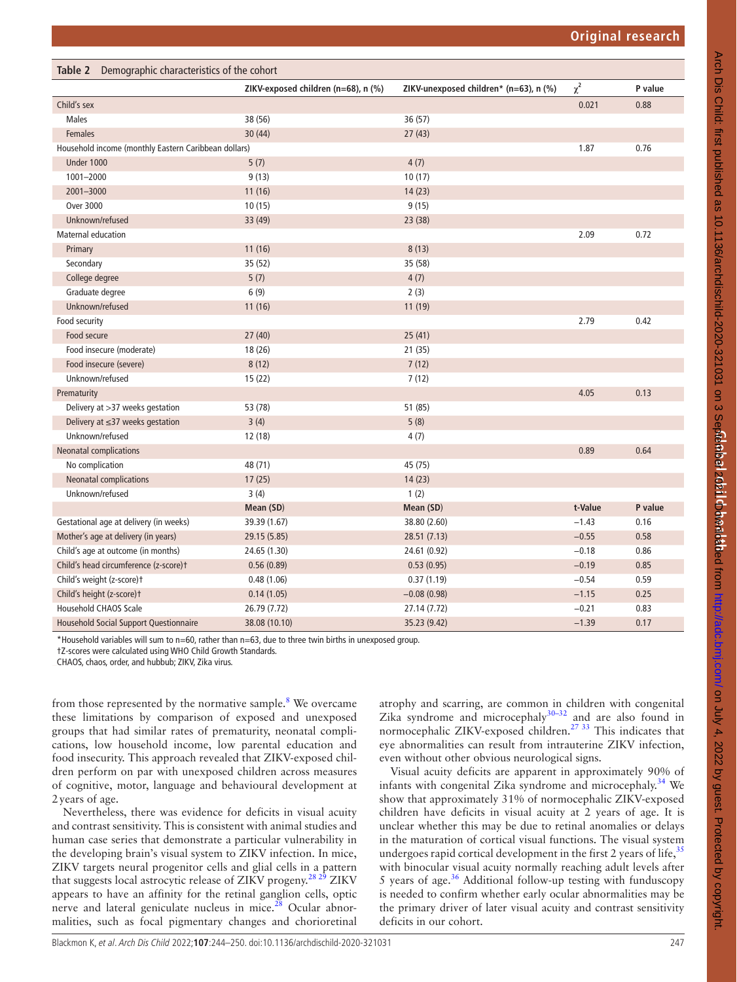<span id="page-3-0"></span>

| Table 2 Demographic characteristics of the cohort    |                                     |                                        |          |         |  |
|------------------------------------------------------|-------------------------------------|----------------------------------------|----------|---------|--|
|                                                      | ZIKV-exposed children (n=68), n (%) | ZIKV-unexposed children* (n=63), n (%) | $\chi^2$ | P value |  |
| Child's sex                                          |                                     |                                        | 0.021    | 0.88    |  |
| <b>Males</b>                                         | 38 (56)                             | 36 (57)                                |          |         |  |
| <b>Females</b>                                       | 30(44)                              | 27(43)                                 |          |         |  |
| Household income (monthly Eastern Caribbean dollars) |                                     |                                        | 1.87     | 0.76    |  |
| <b>Under 1000</b>                                    | 5(7)                                | 4(7)                                   |          |         |  |
| 1001-2000                                            | 9(13)                               | 10(17)                                 |          |         |  |
| 2001-3000                                            | 11(16)                              | 14(23)                                 |          |         |  |
| <b>Over 3000</b>                                     | 10(15)                              | 9(15)                                  |          |         |  |
| Unknown/refused                                      | 33 (49)                             | 23 (38)                                |          |         |  |
| <b>Maternal education</b>                            |                                     |                                        | 2.09     | 0.72    |  |
| Primary                                              | 11(16)                              | 8(13)                                  |          |         |  |
| Secondary                                            | 35 (52)                             | 35 (58)                                |          |         |  |
| College degree                                       | 5(7)                                | 4(7)                                   |          |         |  |
| Graduate degree                                      | 6(9)                                | 2(3)                                   |          |         |  |
| Unknown/refused                                      | 11(16)                              | 11 (19)                                |          |         |  |
| Food security                                        |                                     |                                        | 2.79     | 0.42    |  |
| Food secure                                          | 27(40)                              | 25(41)                                 |          |         |  |
| Food insecure (moderate)                             | 18 (26)                             | 21(35)                                 |          |         |  |
| Food insecure (severe)                               | 8(12)                               | 7(12)                                  |          |         |  |
| Unknown/refused                                      | 15 (22)                             | 7(12)                                  |          |         |  |
| Prematurity                                          |                                     |                                        | 4.05     | 0.13    |  |
| Delivery at >37 weeks gestation                      | 53 (78)                             | 51 (85)                                |          |         |  |
| Delivery at $\leq$ 37 weeks gestation                | 3(4)                                | 5(8)                                   |          |         |  |
| Unknown/refused                                      | 12 (18)                             | 4(7)                                   |          |         |  |
| <b>Neonatal complications</b>                        |                                     |                                        | 0.89     | 0.64    |  |
| No complication                                      | 48 (71)                             | 45 (75)                                |          |         |  |
| <b>Neonatal complications</b>                        | 17(25)                              | 14(23)                                 |          |         |  |
| Unknown/refused                                      | 3(4)                                | 1(2)                                   |          |         |  |
|                                                      | Mean (SD)                           | Mean (SD)                              | t-Value  | P value |  |
| Gestational age at delivery (in weeks)               | 39.39 (1.67)                        | 38.80 (2.60)                           | $-1.43$  | 0.16    |  |
| Mother's age at delivery (in years)                  | 29.15 (5.85)                        | 28.51(7.13)                            | $-0.55$  | 0.58    |  |
| Child's age at outcome (in months)                   | 24.65 (1.30)                        | 24.61 (0.92)                           | $-0.18$  | 0.86    |  |
| Child's head circumference (z-score)t                | 0.56(0.89)                          | 0.53(0.95)                             | $-0.19$  | 0.85    |  |
| Child's weight (z-score)t                            | 0.48(1.06)                          | 0.37(1.19)                             | $-0.54$  | 0.59    |  |
| Child's height (z-score)t                            | 0.14(1.05)                          | $-0.08(0.98)$                          | $-1.15$  | 0.25    |  |
| Household CHAOS Scale                                | 26.79 (7.72)                        | 27.14 (7.72)                           | $-0.21$  | 0.83    |  |
| <b>Household Social Support Questionnaire</b>        | 38.08 (10.10)                       | 35.23 (9.42)                           | $-1.39$  | 0.17    |  |

\*Household variables will sum to n=60, rather than n=63, due to three twin births in unexposed group.

†Z-scores were calculated using WHO Child Growth Standards.

CHAOS, chaos, order, and hubbub; ZIKV, Zika virus.

from those represented by the normative sample.<sup>[8](#page-5-2)</sup> We overcame these limitations by comparison of exposed and unexposed groups that had similar rates of prematurity, neonatal complications, low household income, low parental education and food insecurity. This approach revealed that ZIKV-exposed children perform on par with unexposed children across measures of cognitive, motor, language and behavioural development at 2years of age.

Nevertheless, there was evidence for deficits in visual acuity and contrast sensitivity. This is consistent with animal studies and human case series that demonstrate a particular vulnerability in the developing brain's visual system to ZIKV infection. In mice, ZIKV targets neural progenitor cells and glial cells in a pattern that suggests local astrocytic release of ZIKV progeny.<sup>28 29</sup> ZIKV appears to have an affinity for the retinal ganglion cells, optic nerve and lateral geniculate nucleus in mice.<sup>28</sup> Ocular abnormalities, such as focal pigmentary changes and chorioretinal

atrophy and scarring, are common in children with congenital Zika syndrome and microcephaly $30-32$  and are also found in normocephalic ZIKV-exposed children.<sup>27 33</sup> This indicates that eye abnormalities can result from intrauterine ZIKV infection, even without other obvious neurological signs.

Visual acuity deficits are apparent in approximately 90% of infants with congenital Zika syndrome and microcephaly.<sup>34</sup> We show that approximately 31% of normocephalic ZIKV-exposed children have deficits in visual acuity at 2 years of age. It is unclear whether this may be due to retinal anomalies or delays in the maturation of cortical visual functions. The visual system undergoes rapid cortical development in the first 2 years of life,  $35$ with binocular visual acuity normally reaching adult levels after 5 years of age.<sup>[36](#page-6-12)</sup> Additional follow-up testing with funduscopy is needed to confirm whether early ocular abnormalities may be the primary driver of later visual acuity and contrast sensitivity deficits in our cohort.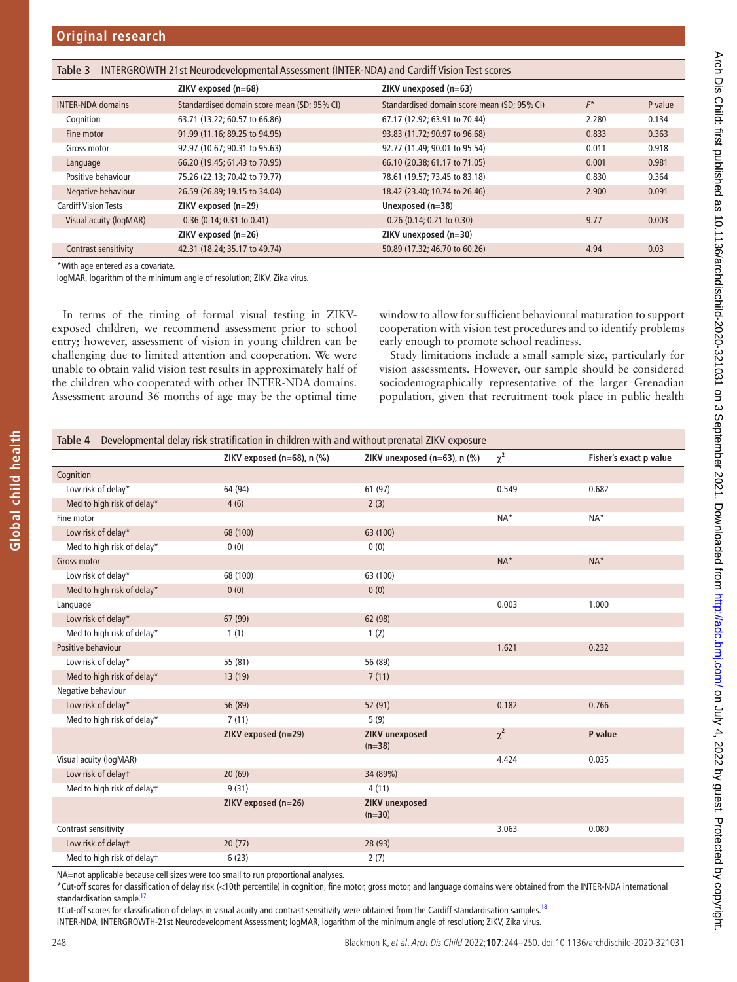<span id="page-4-0"></span>

| INTERGROWTH 21st Neurodevelopmental Assessment (INTER-NDA) and Cardiff Vision Test scores<br>Table 3 |                                             |                                             |       |         |
|------------------------------------------------------------------------------------------------------|---------------------------------------------|---------------------------------------------|-------|---------|
|                                                                                                      | ZIKV exposed (n=68)                         | ZIKV unexposed (n=63)                       |       |         |
| <b>INTER-NDA domains</b>                                                                             | Standardised domain score mean (SD; 95% CI) | Standardised domain score mean (SD; 95% CI) | $F^*$ | P value |
| Cognition                                                                                            | 63.71 (13.22; 60.57 to 66.86)               | 67.17 (12.92; 63.91 to 70.44)               | 2.280 | 0.134   |
| Fine motor                                                                                           | 91.99 (11.16; 89.25 to 94.95)               | 93.83 (11.72; 90.97 to 96.68)               | 0.833 | 0.363   |
| Gross motor                                                                                          | 92.97 (10.67; 90.31 to 95.63)               | 92.77 (11.49; 90.01 to 95.54)               | 0.011 | 0.918   |
| Language                                                                                             | 66.20 (19.45; 61.43 to 70.95)               | 66.10 (20.38; 61.17 to 71.05)               | 0.001 | 0.981   |
| Positive behaviour                                                                                   | 75.26 (22.13; 70.42 to 79.77)               | 78.61 (19.57; 73.45 to 83.18)               | 0.830 | 0.364   |
| Negative behaviour                                                                                   | 26.59 (26.89; 19.15 to 34.04)               | 18.42 (23.40; 10.74 to 26.46)               | 2.900 | 0.091   |
| <b>Cardiff Vision Tests</b>                                                                          | $ZIKV$ exposed ( $n=29$ )                   | Unexposed $(n=38)$                          |       |         |
| Visual acuity (logMAR)                                                                               | $0.36$ (0.14; 0.31 to 0.41)                 | $0.26$ (0.14; 0.21 to 0.30)                 | 9.77  | 0.003   |
|                                                                                                      | $ZIKV$ exposed $(n=26)$                     | ZIKV unexposed (n=30)                       |       |         |
| Contrast sensitivity                                                                                 | 42.31 (18.24; 35.17 to 49.74)               | 50.89 (17.32; 46.70 to 60.26)               | 4.94  | 0.03    |

\*With age entered as a covariate.

logMAR, logarithm of the minimum angle of resolution; ZIKV, Zika virus.

In terms of the timing of formal visual testing in ZIKVexposed children, we recommend assessment prior to school entry; however, assessment of vision in young children can be challenging due to limited attention and cooperation. We were unable to obtain valid vision test results in approximately half of the children who cooperated with other INTER-NDA domains. Assessment around 36 months of age may be the optimal time window to allow for sufficient behavioural maturation to support cooperation with vision test procedures and to identify problems early enough to promote school readiness.

Study limitations include a small sample size, particularly for vision assessments. However, our sample should be considered sociodemographically representative of the larger Grenadian population, given that recruitment took place in public health

<span id="page-4-1"></span>

| Developmental delay risk stratification in children with and without prenatal ZIKV exposure<br>Table 4 |                              |                                   |          |                        |
|--------------------------------------------------------------------------------------------------------|------------------------------|-----------------------------------|----------|------------------------|
|                                                                                                        | ZIKV exposed (n=68), $n$ (%) | ZIKV unexposed (n=63), n (%)      | $\chi^2$ | Fisher's exact p value |
| Cognition                                                                                              |                              |                                   |          |                        |
| Low risk of delay*                                                                                     | 64 (94)                      | 61 (97)                           | 0.549    | 0.682                  |
| Med to high risk of delay*                                                                             | 4(6)                         | 2(3)                              |          |                        |
| Fine motor                                                                                             |                              |                                   | $NA*$    | $NA*$                  |
| Low risk of delay*                                                                                     | 68 (100)                     | 63 (100)                          |          |                        |
| Med to high risk of delay*                                                                             | 0(0)                         | 0(0)                              |          |                        |
| <b>Gross motor</b>                                                                                     |                              |                                   | $NA*$    | $NA^*$                 |
| Low risk of delay*                                                                                     | 68 (100)                     | 63 (100)                          |          |                        |
| Med to high risk of delay*                                                                             | 0(0)                         | 0(0)                              |          |                        |
| Language                                                                                               |                              |                                   | 0.003    | 1.000                  |
| Low risk of delay*                                                                                     | 67 (99)                      | 62 (98)                           |          |                        |
| Med to high risk of delay*                                                                             | 1(1)                         | 1(2)                              |          |                        |
| Positive behaviour                                                                                     |                              |                                   | 1.621    | 0.232                  |
| Low risk of delay*                                                                                     | 55 (81)                      | 56 (89)                           |          |                        |
| Med to high risk of delay*                                                                             | 13(19)                       | 7(11)                             |          |                        |
| Negative behaviour                                                                                     |                              |                                   |          |                        |
| Low risk of delay*                                                                                     | 56 (89)                      | 52 (91)                           | 0.182    | 0.766                  |
| Med to high risk of delay*                                                                             | 7(11)                        | 5(9)                              |          |                        |
|                                                                                                        | ZIKV exposed (n=29)          | <b>ZIKV</b> unexposed<br>$(n=38)$ | $\chi^2$ | P value                |
| Visual acuity (logMAR)                                                                                 |                              |                                   | 4.424    | 0.035                  |
| Low risk of delayt                                                                                     | 20(69)                       | 34 (89%)                          |          |                        |
| Med to high risk of delayt                                                                             | 9(31)                        | 4(11)                             |          |                        |
|                                                                                                        | ZIKV exposed (n=26)          | <b>ZIKV</b> unexposed<br>$(n=30)$ |          |                        |
| Contrast sensitivity                                                                                   |                              |                                   | 3.063    | 0.080                  |
| Low risk of delayt                                                                                     | 20(77)                       | 28 (93)                           |          |                        |
| Med to high risk of delayt                                                                             | 6(23)                        | 2(7)                              |          |                        |

NA=not applicable because cell sizes were too small to run proportional analyses.

\*Cut-off scores for classification of delay risk (<10th percentile) in cognition, fine motor, gross motor, and language domains were obtained from the INTER-NDA international standardisation sample.<sup>[17](#page-5-11)</sup>

†Cut-off scores for classification of delays in visual acuity and contrast sensitivity were obtained from the Cardiff standardisation samples.<sup>18</sup> INTER-NDA, INTERGROWTH-21st Neurodevelopment Assessment; logMAR, logarithm of the minimum angle of resolution; ZIKV, Zika virus.

Arch Dis Child: first published as 10.1136/archdischild-2020-321031 on 3 September 2021. Downloaded from http://adc.bmj.com/ on July 4, 2022 by guest. Protected by copyright. Arch Dis Child: first published as 10.1136/archdischild-2020-3210p 13 September 2021. Downloaded from <http://adc.bmj.com/> on July 4, 2022 by guest. Protected by copyright.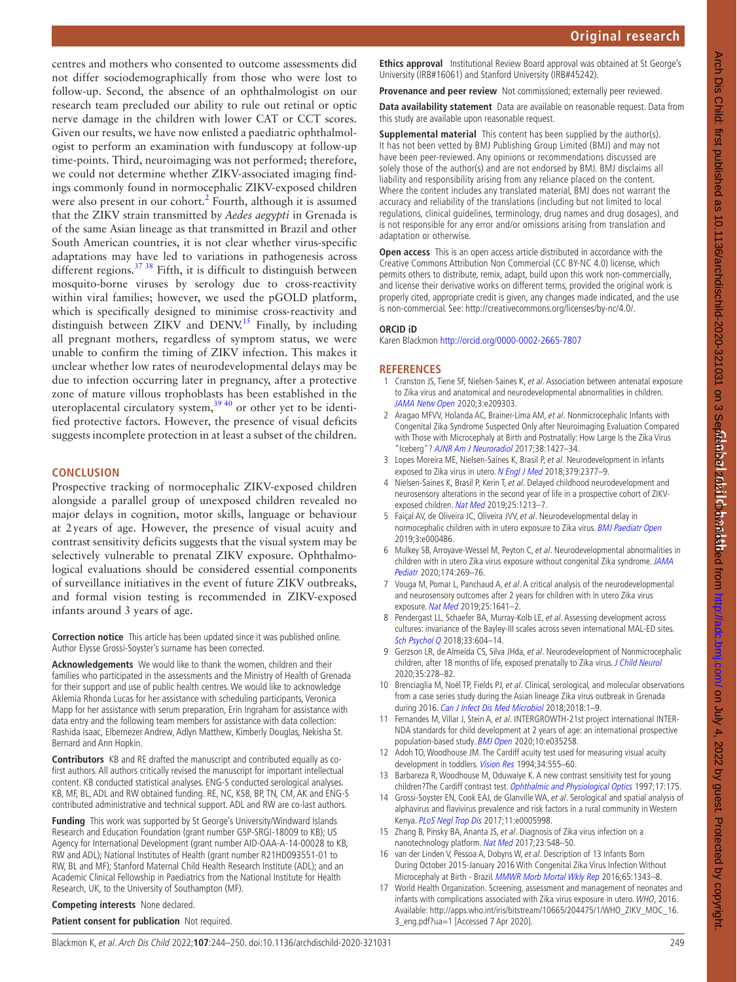centres and mothers who consented to outcome assessments did not differ sociodemographically from those who were lost to follow-up. Second, the absence of an ophthalmologist on our research team precluded our ability to rule out retinal or optic nerve damage in the children with lower CAT or CCT scores. Given our results, we have now enlisted a paediatric ophthalmologist to perform an examination with funduscopy at follow-up time-points. Third, neuroimaging was not performed; therefore, we could not determine whether ZIKV-associated imaging findings commonly found in normocephalic ZIKV-exposed children were also present in our cohort.<sup>[2](#page-5-12)</sup> Fourth, although it is assumed that the ZIKV strain transmitted by *Aedes aegypti* in Grenada is of the same Asian lineage as that transmitted in Brazil and other South American countries, it is not clear whether virus-specific adaptations may have led to variations in pathogenesis across different regions.<sup>37</sup> <sup>38</sup> Fifth, it is difficult to distinguish between mosquito-borne viruses by serology due to cross-reactivity within viral families; however, we used the pGOLD platform, which is specifically designed to minimise cross-reactivity and distinguish between ZIKV and DENV.<sup>15</sup> Finally, by including all pregnant mothers, regardless of symptom status, we were unable to confirm the timing of ZIKV infection. This makes it unclear whether low rates of neurodevelopmental delays may be due to infection occurring later in pregnancy, after a protective zone of mature villous trophoblasts has been established in the uteroplacental circulatory system, $3940$  or other yet to be identified protective factors. However, the presence of visual deficits suggests incomplete protection in at least a subset of the children.

## **CONCLUSION**

Prospective tracking of normocephalic ZIKV-exposed children alongside a parallel group of unexposed children revealed no major delays in cognition, motor skills, language or behaviour at 2years of age. However, the presence of visual acuity and contrast sensitivity deficits suggests that the visual system may be selectively vulnerable to prenatal ZIKV exposure. Ophthalmological evaluations should be considered essential components of surveillance initiatives in the event of future ZIKV outbreaks, and formal vision testing is recommended in ZIKV-exposed infants around 3 years of age.

**Correction notice** This article has been updated since it was published online. Author Elysse Grossi-Soyster's surname has been corrected.

**Acknowledgements** We would like to thank the women, children and their families who participated in the assessments and the Ministry of Health of Grenada for their support and use of public health centres. We would like to acknowledge Aklemia Rhonda Lucas for her assistance with scheduling participants, Veronica Mapp for her assistance with serum preparation, Erin Ingraham for assistance with data entry and the following team members for assistance with data collection: Rashida Isaac, Elbernezer Andrew, Adlyn Matthew, Kimberly Douglas, Nekisha St. Bernard and Ann Hopkin.

**Contributors** KB and RE drafted the manuscript and contributed equally as cofirst authors. All authors critically revised the manuscript for important intellectual content. KB conducted statistical analyses. ENG-S conducted serological analyses. KB, MF, BL, ADL and RW obtained funding. RE, NC, KSB, BP, TN, CM, AK and ENG-S contributed administrative and technical support. ADL and RW are co-last authors.

**Funding** This work was supported by St George's University/Windward Islands Research and Education Foundation (grant number GSP-SRGI-18009 to KB); US Agency for International Development (grant number AID-OAA-A-14-00028 to KB, RW and ADL); National Institutes of Health (grant number R21HD093551-01 to RW, BL and MF); Stanford Maternal Child Health Research Institute (ADL); and an Academic Clinical Fellowship in Paediatrics from the National Institute for Health Research, UK, to the University of Southampton (MF).

**Competing interests** None declared.

**Patient consent for publication** Not required.

**Ethics approval** Institutional Review Board approval was obtained at St George's University (IRB#16061) and Stanford University (IRB#45242).

**Provenance and peer review** Not commissioned; externally peer reviewed.

**Data availability statement** Data are available on reasonable request. Data from this study are available upon reasonable request.

**Supplemental material** This content has been supplied by the author(s). It has not been vetted by BMJ Publishing Group Limited (BMJ) and may not have been peer-reviewed. Any opinions or recommendations discussed are solely those of the author(s) and are not endorsed by BMJ. BMJ disclaims all liability and responsibility arising from any reliance placed on the content. Where the content includes any translated material, BMJ does not warrant the accuracy and reliability of the translations (including but not limited to local regulations, clinical guidelines, terminology, drug names and drug dosages), and is not responsible for any error and/or omissions arising from translation and adaptation or otherwise.

**Open access** This is an open access article distributed in accordance with the Creative Commons Attribution Non Commercial (CC BY-NC 4.0) license, which permits others to distribute, remix, adapt, build upon this work non-commercially, and license their derivative works on different terms, provided the original work is properly cited, appropriate credit is given, any changes made indicated, and the use is non-commercial. See: [http://creativecommons.org/licenses/by-nc/4.0/.](http://creativecommons.org/licenses/by-nc/4.0/)

#### **ORCID iD**

Karen Blackmon <http://orcid.org/0000-0002-2665-7807>

## **REFERENCES**

- <span id="page-5-0"></span>1 Cranston JS, Tiene SF, Nielsen-Saines K, et al. Association between antenatal exposure to Zika virus and anatomical and neurodevelopmental abnormalities in children. [JAMA Netw Open](http://dx.doi.org/10.1001/jamanetworkopen.2020.9303) 2020;3:e209303.
- <span id="page-5-12"></span>2 Aragao MFVV, Holanda AC, Brainer-Lima AM, et al. Nonmicrocephalic Infants with Congenital Zika Syndrome Suspected Only after Neuroimaging Evaluation Compared with Those with Microcephaly at Birth and Postnatally: How Large Is the Zika Virus "Iceberg"? [AJNR Am J Neuroradiol](http://dx.doi.org/10.3174/ajnr.A5216) 2017;38:1427–34.
- 3 Lopes Moreira ME, Nielsen-Saines K, Brasil P, et al. Neurodevelopment in infants exposed to Zika virus in utero. [N Engl J Med](http://dx.doi.org/10.1056/NEJMc1800098) 2018;379:2377-9.
- 4 Nielsen-Saines K, Brasil P, Kerin T, et al. Delayed childhood neurodevelopment and neurosensory alterations in the second year of life in a prospective cohort of ZIKVexposed children. [Nat Med](http://dx.doi.org/10.1038/s41591-019-0496-1) 2019;25:1213–7.
- 5 Faiçal AV, de Oliveira JC, Oliveira JVV, et al. Neurodevelopmental delay in normocephalic children with in utero exposure to Zika virus. [BMJ Paediatr Open](http://dx.doi.org/10.1136/bmjpo-2019-000486) 2019;3:e000486.
- 6 Mulkey SB, Arroyave-Wessel M, Peyton C, et al. Neurodevelopmental abnormalities in children with in utero Zika virus exposure without congenital Zika syndrome. JAMA [Pediatr](http://dx.doi.org/10.1001/jamapediatrics.2019.5204) 2020;174:269–76.
- <span id="page-5-1"></span>7 Vouga M, Pomar L, Panchaud A, et al. A critical analysis of the neurodevelopmental and neurosensory outcomes after 2 years for children with in utero Zika virus exposure. [Nat Med](http://dx.doi.org/10.1038/s41591-019-0630-0) 2019;25:1641–2.
- <span id="page-5-2"></span>8 Pendergast LL, Schaefer BA, Murray-Kolb LE, et al. Assessing development across cultures: invariance of the Bayley-III scales across seven international MAL-ED sites. [Sch Psychol Q](http://dx.doi.org/10.1037/spq0000264) 2018;33:604-14.
- <span id="page-5-3"></span>9 Gerzson LR, de Almeida CS, Silva JHda, et al. Neurodevelopment of Nonmicrocephalic children, after 18 months of life, exposed prenatally to Zika virus. [J Child Neurol](http://dx.doi.org/10.1177/0883073819892128) 2020;35:278–82.
- <span id="page-5-4"></span>10 Brenciaglia M, Noël TP, Fields PJ, et al. Clinical, serological, and molecular observations from a case series study during the Asian lineage Zika virus outbreak in Grenada during 2016. [Can J Infect Dis Med Microbiol](http://dx.doi.org/10.1155/2018/4635647) 2018;2018:1-9.
- <span id="page-5-5"></span>11 Fernandes M, Villar J, Stein A, et al. INTERGROWTH-21st project international INTER-NDA standards for child development at 2 years of age: an international prospective population-based study. **[BMJ Open](http://dx.doi.org/10.1136/bmjopen-2019-035258) 2020**;10:e035258.
- <span id="page-5-6"></span>12 Adoh TO, Woodhouse JM. The Cardiff acuity test used for measuring visual acuity development in toddlers. [Vision Res](http://dx.doi.org/10.1016/0042-6989(94)90168-6) 1994;34:555-60.
- <span id="page-5-7"></span>13 Barbareza R, Woodhouse M, Oduwaiye K. A new contrast sensitivity test for young children?The Cardiff contrast test. [Ophthalmic and Physiological Optics](http://dx.doi.org/10.1016/S0275-5408(97)80752-1) 1997;17:175.
- <span id="page-5-8"></span>14 Grossi-Soyster EN, Cook EAJ, de Glanville WA, et al. Serological and spatial analysis of alphavirus and flavivirus prevalence and risk factors in a rural community in Western Kenya. [PLoS Negl Trop Dis](http://dx.doi.org/10.1371/journal.pntd.0005998) 2017;11:e0005998.
- <span id="page-5-9"></span>15 Zhang B, Pinsky BA, Ananta JS, et al. Diagnosis of Zika virus infection on a nanotechnology platform. [Nat Med](http://dx.doi.org/10.1038/nm.4302) 2017;23:548–50.
- <span id="page-5-10"></span>16 van der Linden V, Pessoa A, Dobyns W, et al. Description of 13 Infants Born During October 2015-January 2016 With Congenital Zika Virus Infection Without Microcephaly at Birth - Brazil. [MMWR Morb Mortal Wkly Rep](http://dx.doi.org/10.15585/mmwr.mm6547e2) 2016;65:1343–8.
- <span id="page-5-11"></span>17 World Health Organization. Screening, assessment and management of neonates and infants with complications associated with Zika virus exposure in utero. WHO, 2016. Available: [http://apps.who.int/iris/bitstream/10665/204475/1/WHO\\_ZIKV\\_MOC\\_16.](http://apps.who.int/iris/bitstream/10665/204475/1/WHO_ZIKV_MOC_16.3_eng.pdf?ua=1) [3\\_eng.pdf?ua=1](http://apps.who.int/iris/bitstream/10665/204475/1/WHO_ZIKV_MOC_16.3_eng.pdf?ua=1) [Accessed 7 Apr 2020].